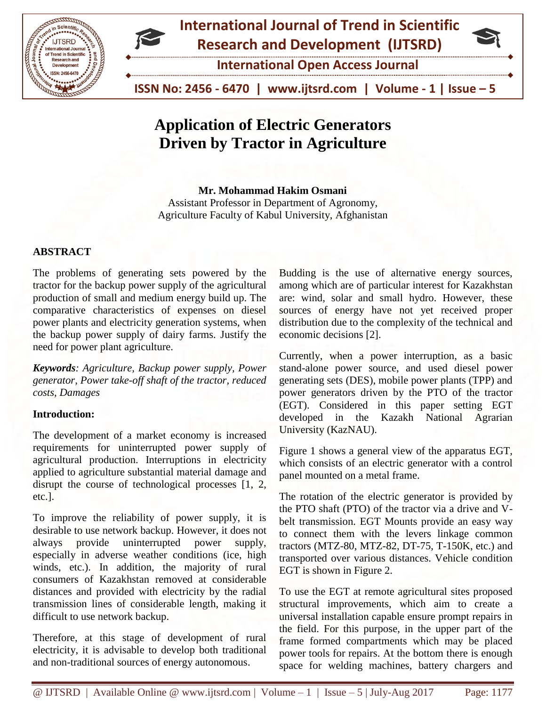



**International Open Access Journal**

 **ISSN No: 2456 - 6470 | www.ijtsrd.com | Volume - 1 | Issue – 5**

# **Application of Electric Generators Driven by Tractor in Agriculture**

**Mr. Mohammad Hakim Osmani** Assistant Professor in Department of Agronomy, Agriculture Faculty of Kabul University, Afghanistan

## **ABSTRACT**

The problems of generating sets powered by the tractor for the backup power supply of the agricultural production of small and medium energy build up. The comparative characteristics of expenses on diesel power plants and electricity generation systems, when the backup power supply of dairy farms. Justify the need for power plant agriculture.

*Keywords: Agriculture, Backup power supply, Power generator, Power take-off shaft of the tractor, reduced costs, Damages*

#### **Introduction:**

The development of a market economy is increased requirements for uninterrupted power supply of agricultural production. Interruptions in electricity applied to agriculture substantial material damage and disrupt the course of technological processes [1, 2, etc.].

To improve the reliability of power supply, it is desirable to use network backup. However, it does not always provide uninterrupted power supply, especially in adverse weather conditions (ice, high winds, etc.). In addition, the majority of rural consumers of Kazakhstan removed at considerable distances and provided with electricity by the radial transmission lines of considerable length, making it difficult to use network backup.

Therefore, at this stage of development of rural electricity, it is advisable to develop both traditional and non-traditional sources of energy autonomous.

Budding is the use of alternative energy sources, among which are of particular interest for Kazakhstan are: wind, solar and small hydro. However, these sources of energy have not yet received proper distribution due to the complexity of the technical and economic decisions [2].

Currently, when a power interruption, as a basic stand-alone power source, and used diesel power generating sets (DES), mobile power plants (TPP) and power generators driven by the PTO of the tractor (EGT). Considered in this paper setting EGT developed in the Kazakh National Agrarian University (KazNAU).

Figure 1 shows a general view of the apparatus EGT, which consists of an electric generator with a control panel mounted on a metal frame.

The rotation of the electric generator is provided by the PTO shaft (PTO) of the tractor via a drive and Vbelt transmission. EGT Mounts provide an easy way to connect them with the levers linkage common tractors (MTZ-80, MTZ-82, DT-75, T-150K, etc.) and transported over various distances. Vehicle condition EGT is shown in Figure 2.

To use the EGT at remote agricultural sites proposed structural improvements, which aim to create a universal installation capable ensure prompt repairs in the field. For this purpose, in the upper part of the frame formed compartments which may be placed power tools for repairs. At the bottom there is enough space for welding machines, battery chargers and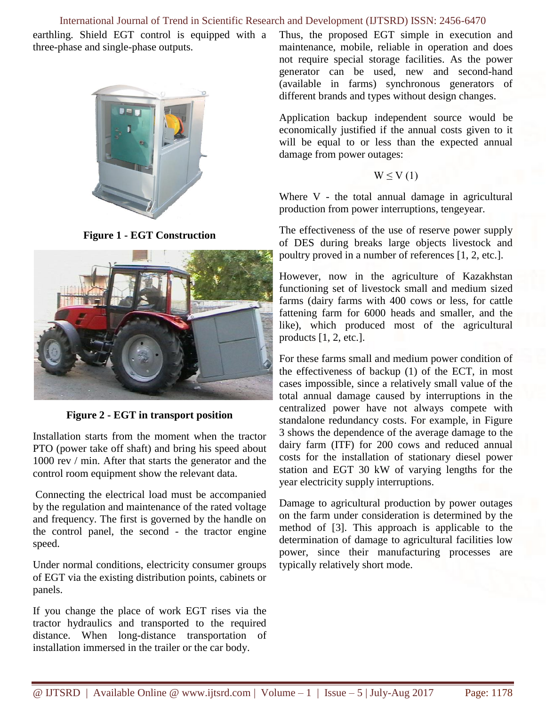#### International Journal of Trend in Scientific Research and Development (IJTSRD) ISSN: 2456-6470

earthling. Shield EGT control is equipped with a three-phase and single-phase outputs.



**Figure 1 - EGT Construction**



**Figure 2 - EGT in transport position**

Installation starts from the moment when the tractor PTO (power take off shaft) and bring his speed about 1000 rev / min. After that starts the generator and the control room equipment show the relevant data.

Connecting the electrical load must be accompanied by the regulation and maintenance of the rated voltage and frequency. The first is governed by the handle on the control panel, the second - the tractor engine speed.

Under normal conditions, electricity consumer groups of EGT via the existing distribution points, cabinets or panels.

If you change the place of work EGT rises via the tractor hydraulics and transported to the required distance. When long-distance transportation of installation immersed in the trailer or the car body.

Thus, the proposed EGT simple in execution and maintenance, mobile, reliable in operation and does not require special storage facilities. As the power generator can be used, new and second-hand (available in farms) synchronous generators of different brands and types without design changes.

Application backup independent source would be economically justified if the annual costs given to it will be equal to or less than the expected annual damage from power outages:

$$
W \leq V(1)
$$

Where V - the total annual damage in agricultural production from power interruptions, tengeyear.

The effectiveness of the use of reserve power supply of DES during breaks large objects livestock and poultry proved in a number of references [1, 2, etc.].

However, now in the agriculture of Kazakhstan functioning set of livestock small and medium sized farms (dairy farms with 400 cows or less, for cattle fattening farm for 6000 heads and smaller, and the like), which produced most of the agricultural products [1, 2, etc.].

For these farms small and medium power condition of the effectiveness of backup (1) of the ECT, in most cases impossible, since a relatively small value of the total annual damage caused by interruptions in the centralized power have not always compete with standalone redundancy costs. For example, in Figure 3 shows the dependence of the average damage to the dairy farm (ITF) for 200 cows and reduced annual costs for the installation of stationary diesel power station and EGT 30 kW of varying lengths for the year electricity supply interruptions.

Damage to agricultural production by power outages on the farm under consideration is determined by the method of [3]. This approach is applicable to the determination of damage to agricultural facilities low power, since their manufacturing processes are typically relatively short mode.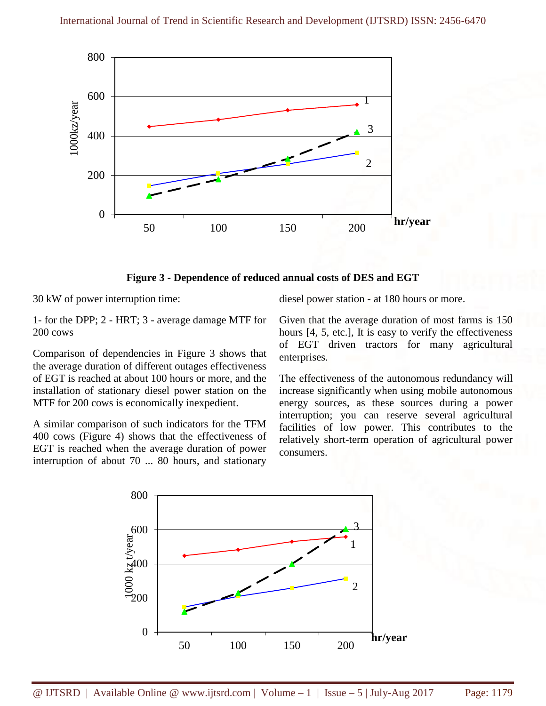

**Figure 3 - Dependence of reduced annual costs of DES and EGT**

30 kW of power interruption time:

1- for the DPP; 2 - HRT; 3 - average damage MTF for 200 cows

Comparison of dependencies in Figure 3 shows that the average duration of different outages effectiveness of EGT is reached at about 100 hours or more, and the installation of stationary diesel power station on the MTF for 200 cows is economically inexpedient.

A similar comparison of such indicators for the TFM 400 cows (Figure 4) shows that the effectiveness of EGT is reached when the average duration of power interruption of about 70 ... 80 hours, and stationary diesel power station - at 180 hours or more.

Given that the average duration of most farms is 150 hours [4, 5, etc.], It is easy to verify the effectiveness of EGT driven tractors for many agricultural enterprises.

The effectiveness of the autonomous redundancy will increase significantly when using mobile autonomous energy sources, as these sources during a power interruption; you can reserve several agricultural facilities of low power. This contributes to the relatively short-term operation of agricultural power consumers.